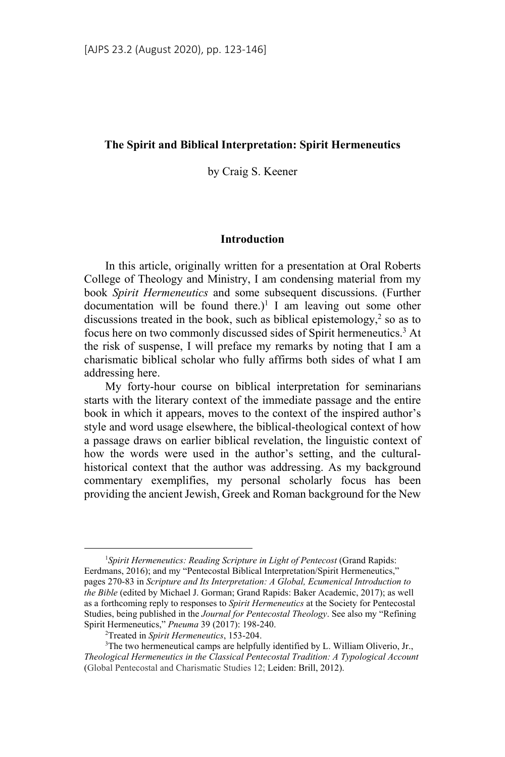### **The Spirit and Biblical Interpretation: Spirit Hermeneutics**

by Craig S. Keener

## **Introduction**

In this article, originally written for a presentation at Oral Roberts College of Theology and Ministry, I am condensing material from my book *Spirit Hermeneutics* and some subsequent discussions. (Further documentation will be found there.)<sup>1</sup> I am leaving out some other discussions treated in the book, such as biblical epistemology, $2$  so as to focus here on two commonly discussed sides of Spirit hermeneutics.<sup>3</sup> At the risk of suspense, I will preface my remarks by noting that I am a charismatic biblical scholar who fully affirms both sides of what I am addressing here.

My forty-hour course on biblical interpretation for seminarians starts with the literary context of the immediate passage and the entire book in which it appears, moves to the context of the inspired author's style and word usage elsewhere, the biblical-theological context of how a passage draws on earlier biblical revelation, the linguistic context of how the words were used in the author's setting, and the culturalhistorical context that the author was addressing. As my background commentary exemplifies, my personal scholarly focus has been providing the ancient Jewish, Greek and Roman background for the New

 $\frac{1}{1}$ *Spirit Hermeneutics: Reading Scripture in Light of Pentecost* (Grand Rapids: Eerdmans, 2016); and my "Pentecostal Biblical Interpretation/Spirit Hermeneutics," pages 270-83 in *Scripture and Its Interpretation: A Global, Ecumenical Introduction to the Bible* (edited by Michael J. Gorman; Grand Rapids: Baker Academic, 2017); as well as a forthcoming reply to responses to *Spirit Hermeneutics* at the Society for Pentecostal Studies, being published in the *Journal for Pentecostal Theology*. See also my "Refining Spirit Hermeneutics," *Pneuma* 39 (2017): 198-240. 2

Treated in *Spirit Hermeneutics*, 153-204. 3

<sup>&</sup>lt;sup>3</sup>The two hermeneutical camps are helpfully identified by L. William Oliverio, Jr., *Theological Hermeneutics in the Classical Pentecostal Tradition: A Typological Account* (Global Pentecostal and Charismatic Studies 12; Leiden: Brill, 2012).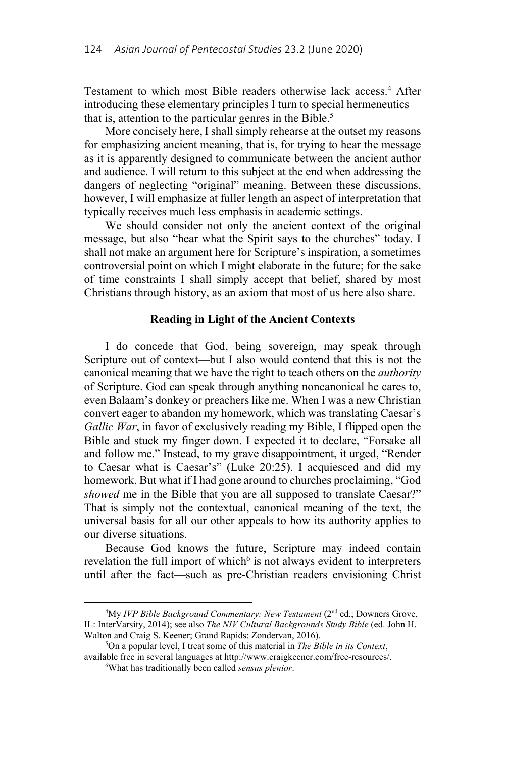Testament to which most Bible readers otherwise lack access.<sup>4</sup> After introducing these elementary principles I turn to special hermeneutics that is, attention to the particular genres in the Bible.<sup>5</sup>

More concisely here, I shall simply rehearse at the outset my reasons for emphasizing ancient meaning, that is, for trying to hear the message as it is apparently designed to communicate between the ancient author and audience. I will return to this subject at the end when addressing the dangers of neglecting "original" meaning. Between these discussions, however, I will emphasize at fuller length an aspect of interpretation that typically receives much less emphasis in academic settings.

We should consider not only the ancient context of the original message, but also "hear what the Spirit says to the churches" today. I shall not make an argument here for Scripture's inspiration, a sometimes controversial point on which I might elaborate in the future; for the sake of time constraints I shall simply accept that belief, shared by most Christians through history, as an axiom that most of us here also share.

## **Reading in Light of the Ancient Contexts**

I do concede that God, being sovereign, may speak through Scripture out of context—but I also would contend that this is not the canonical meaning that we have the right to teach others on the *authority* of Scripture. God can speak through anything noncanonical he cares to, even Balaam's donkey or preachers like me. When I was a new Christian convert eager to abandon my homework, which was translating Caesar's *Gallic War*, in favor of exclusively reading my Bible, I flipped open the Bible and stuck my finger down. I expected it to declare, "Forsake all and follow me." Instead, to my grave disappointment, it urged, "Render to Caesar what is Caesar's" (Luke 20:25). I acquiesced and did my homework. But what if I had gone around to churches proclaiming, "God *showed* me in the Bible that you are all supposed to translate Caesar?" That is simply not the contextual, canonical meaning of the text, the universal basis for all our other appeals to how its authority applies to our diverse situations.

Because God knows the future, Scripture may indeed contain revelation the full import of which $6$  is not always evident to interpreters until after the fact—such as pre-Christian readers envisioning Christ

 $\overline{a}$ <sup>4</sup>My *IVP Bible Background Commentary: New Testament* (2<sup>nd</sup> ed.; Downers Grove, IL: InterVarsity, 2014); see also *The NIV Cultural Backgrounds Study Bible* (ed. John H. Walton and Craig S. Keener; Grand Rapids: Zondervan, 2016).

On a popular level, I treat some of this material in *The Bible in its Context*, available free in several languages at http://www.craigkeener.com/free-resources/. 6

What has traditionally been called *sensus plenior*.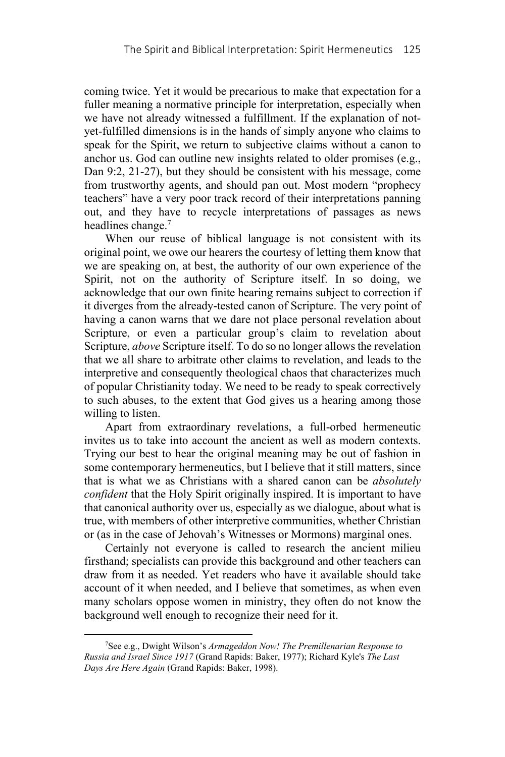coming twice. Yet it would be precarious to make that expectation for a fuller meaning a normative principle for interpretation, especially when we have not already witnessed a fulfillment. If the explanation of notyet-fulfilled dimensions is in the hands of simply anyone who claims to speak for the Spirit, we return to subjective claims without a canon to anchor us. God can outline new insights related to older promises (e.g., Dan 9:2, 21-27), but they should be consistent with his message, come from trustworthy agents, and should pan out. Most modern "prophecy teachers" have a very poor track record of their interpretations panning out, and they have to recycle interpretations of passages as news headlines change.<sup>7</sup>

When our reuse of biblical language is not consistent with its original point, we owe our hearers the courtesy of letting them know that we are speaking on, at best, the authority of our own experience of the Spirit, not on the authority of Scripture itself. In so doing, we acknowledge that our own finite hearing remains subject to correction if it diverges from the already-tested canon of Scripture. The very point of having a canon warns that we dare not place personal revelation about Scripture, or even a particular group's claim to revelation about Scripture, *above* Scripture itself. To do so no longer allows the revelation that we all share to arbitrate other claims to revelation, and leads to the interpretive and consequently theological chaos that characterizes much of popular Christianity today. We need to be ready to speak correctively to such abuses, to the extent that God gives us a hearing among those willing to listen.

Apart from extraordinary revelations, a full-orbed hermeneutic invites us to take into account the ancient as well as modern contexts. Trying our best to hear the original meaning may be out of fashion in some contemporary hermeneutics, but I believe that it still matters, since that is what we as Christians with a shared canon can be *absolutely confident* that the Holy Spirit originally inspired. It is important to have that canonical authority over us, especially as we dialogue, about what is true, with members of other interpretive communities, whether Christian or (as in the case of Jehovah's Witnesses or Mormons) marginal ones.

Certainly not everyone is called to research the ancient milieu firsthand; specialists can provide this background and other teachers can draw from it as needed. Yet readers who have it available should take account of it when needed, and I believe that sometimes, as when even many scholars oppose women in ministry, they often do not know the background well enough to recognize their need for it.

 $\frac{1}{7}$ See e.g., Dwight Wilson's *Armageddon Now! The Premillenarian Response to Russia and Israel Since 1917* (Grand Rapids: Baker, 1977); Richard Kyle's *The Last Days Are Here Again* (Grand Rapids: Baker, 1998).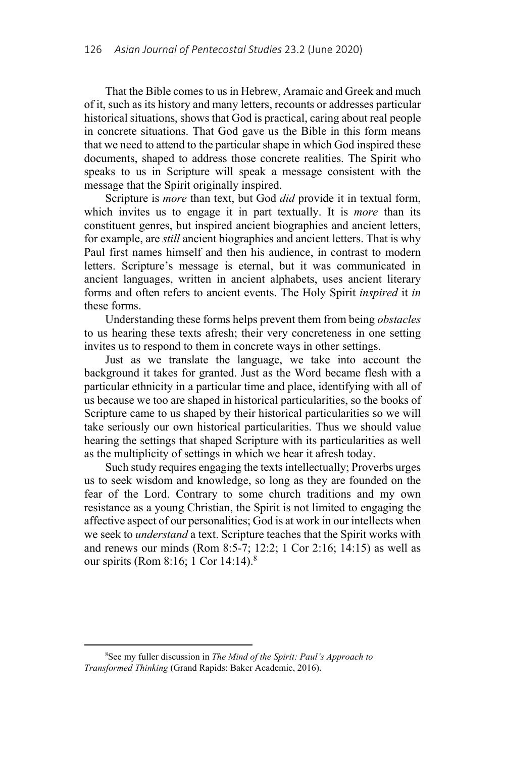That the Bible comes to us in Hebrew, Aramaic and Greek and much of it, such as its history and many letters, recounts or addresses particular historical situations, shows that God is practical, caring about real people in concrete situations. That God gave us the Bible in this form means that we need to attend to the particular shape in which God inspired these documents, shaped to address those concrete realities. The Spirit who speaks to us in Scripture will speak a message consistent with the message that the Spirit originally inspired.

Scripture is *more* than text, but God *did* provide it in textual form, which invites us to engage it in part textually. It is *more* than its constituent genres, but inspired ancient biographies and ancient letters, for example, are *still* ancient biographies and ancient letters. That is why Paul first names himself and then his audience, in contrast to modern letters. Scripture's message is eternal, but it was communicated in ancient languages, written in ancient alphabets, uses ancient literary forms and often refers to ancient events. The Holy Spirit *inspired* it *in* these forms.

Understanding these forms helps prevent them from being *obstacles*  to us hearing these texts afresh; their very concreteness in one setting invites us to respond to them in concrete ways in other settings.

Just as we translate the language, we take into account the background it takes for granted. Just as the Word became flesh with a particular ethnicity in a particular time and place, identifying with all of us because we too are shaped in historical particularities, so the books of Scripture came to us shaped by their historical particularities so we will take seriously our own historical particularities. Thus we should value hearing the settings that shaped Scripture with its particularities as well as the multiplicity of settings in which we hear it afresh today.

Such study requires engaging the texts intellectually; Proverbs urges us to seek wisdom and knowledge, so long as they are founded on the fear of the Lord. Contrary to some church traditions and my own resistance as a young Christian, the Spirit is not limited to engaging the affective aspect of our personalities; God is at work in our intellects when we seek to *understand* a text. Scripture teaches that the Spirit works with and renews our minds (Rom 8:5-7; 12:2; 1 Cor 2:16; 14:15) as well as our spirits (Rom 8:16; 1 Cor 14:14).8

 <sup>8</sup> See my fuller discussion in *The Mind of the Spirit: Paul's Approach to Transformed Thinking* (Grand Rapids: Baker Academic, 2016).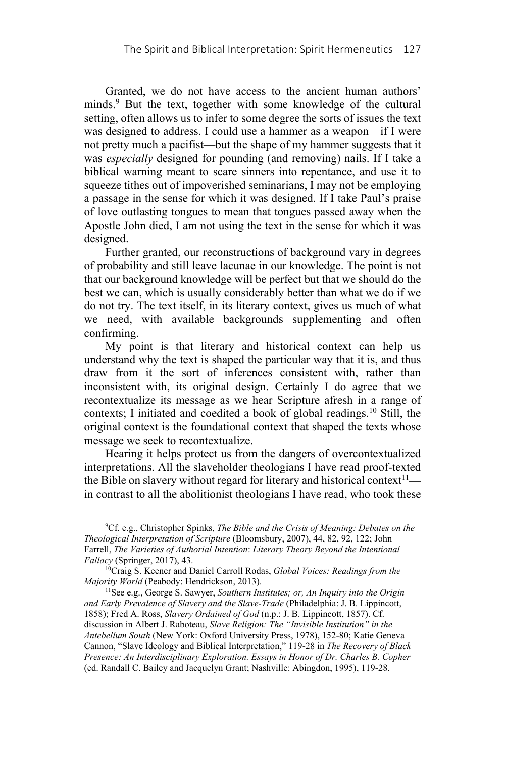Granted, we do not have access to the ancient human authors' minds.<sup>9</sup> But the text, together with some knowledge of the cultural setting, often allows us to infer to some degree the sorts of issues the text was designed to address. I could use a hammer as a weapon—if I were not pretty much a pacifist—but the shape of my hammer suggests that it was *especially* designed for pounding (and removing) nails. If I take a biblical warning meant to scare sinners into repentance, and use it to squeeze tithes out of impoverished seminarians, I may not be employing a passage in the sense for which it was designed. If I take Paul's praise of love outlasting tongues to mean that tongues passed away when the Apostle John died, I am not using the text in the sense for which it was designed.

Further granted, our reconstructions of background vary in degrees of probability and still leave lacunae in our knowledge. The point is not that our background knowledge will be perfect but that we should do the best we can, which is usually considerably better than what we do if we do not try. The text itself, in its literary context, gives us much of what we need, with available backgrounds supplementing and often confirming.

My point is that literary and historical context can help us understand why the text is shaped the particular way that it is, and thus draw from it the sort of inferences consistent with, rather than inconsistent with, its original design. Certainly I do agree that we recontextualize its message as we hear Scripture afresh in a range of contexts; I initiated and coedited a book of global readings.<sup>10</sup> Still, the original context is the foundational context that shaped the texts whose message we seek to recontextualize.

Hearing it helps protect us from the dangers of overcontextualized interpretations. All the slaveholder theologians I have read proof-texted the Bible on slavery without regard for literary and historical context $11$  in contrast to all the abolitionist theologians I have read, who took these

 $\frac{1}{9}$ <sup>9</sup>Cf. e.g., Christopher Spinks, *The Bible and the Crisis of Meaning: Debates on the Theological Interpretation of Scripture* (Bloomsbury, 2007), 44, 82, 92, 122; John Farrell, *The Varieties of Authorial Intention*: *Literary Theory Beyond the Intentional* 

*Fallacy* (Springer, 2017), 43.<br><sup>10</sup>Craig S. Keener and Daniel Carroll Rodas, *Global Voices: Readings from the Majority World* (Peabody: Hendrickson, 2013).

<sup>&</sup>lt;sup>11</sup> See e.g., George S. Sawyer, *Southern Institutes; or, An Inquiry into the Origin and Early Prevalence of Slavery and the Slave-Trade* (Philadelphia: J. B. Lippincott, 1858); Fred A. Ross, *Slavery Ordained of God* (n.p.: J. B. Lippincott, 1857). Cf. discussion in Albert J. Raboteau, *Slave Religion: The "Invisible Institution" in the Antebellum South* (New York: Oxford University Press, 1978), 152-80; Katie Geneva Cannon, "Slave Ideology and Biblical Interpretation," 119-28 in *The Recovery of Black Presence: An Interdisciplinary Exploration. Essays in Honor of Dr. Charles B. Copher* (ed. Randall C. Bailey and Jacquelyn Grant; Nashville: Abingdon, 1995), 119-28.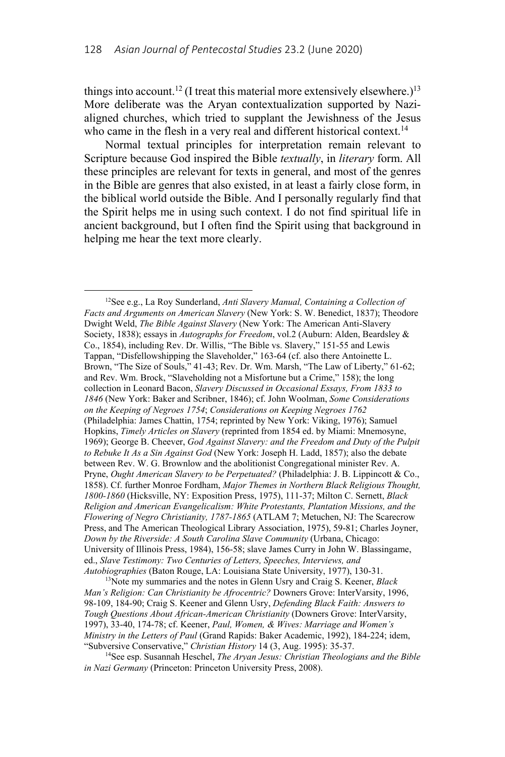things into account.<sup>12</sup> (I treat this material more extensively elsewhere.)<sup>13</sup> More deliberate was the Aryan contextualization supported by Nazialigned churches, which tried to supplant the Jewishness of the Jesus who came in the flesh in a very real and different historical context.<sup>14</sup>

Normal textual principles for interpretation remain relevant to Scripture because God inspired the Bible *textually*, in *literary* form. All these principles are relevant for texts in general, and most of the genres in the Bible are genres that also existed, in at least a fairly close form, in the biblical world outside the Bible. And I personally regularly find that the Spirit helps me in using such context. I do not find spiritual life in ancient background, but I often find the Spirit using that background in helping me hear the text more clearly.

 <sup>12</sup>See e.g., La Roy Sunderland, *Anti Slavery Manual, Containing a Collection of Facts and Arguments on American Slavery* (New York: S. W. Benedict, 1837); Theodore Dwight Weld, *The Bible Against Slavery* (New York: The American Anti-Slavery Society, 1838); essays in *Autographs for Freedom*, vol.2 (Auburn: Alden, Beardsley & Co., 1854), including Rev. Dr. Willis, "The Bible vs. Slavery," 151-55 and Lewis Tappan, "Disfellowshipping the Slaveholder," 163-64 (cf. also there Antoinette L. Brown, "The Size of Souls," 41-43; Rev. Dr. Wm. Marsh, "The Law of Liberty," 61-62; and Rev. Wm. Brock, "Slaveholding not a Misfortune but a Crime," 158); the long collection in Leonard Bacon, *Slavery Discussed in Occasional Essays, From 1833 to 1846* (New York: Baker and Scribner, 1846); cf. John Woolman, *Some Considerations on the Keeping of Negroes 1754*; *Considerations on Keeping Negroes 1762* (Philadelphia: James Chattin, 1754; reprinted by New York: Viking, 1976); Samuel Hopkins, *Timely Articles on Slavery* (reprinted from 1854 ed. by Miami: Mnemosyne, 1969); George B. Cheever, *God Against Slavery: and the Freedom and Duty of the Pulpit to Rebuke It As a Sin Against God* (New York: Joseph H. Ladd, 1857); also the debate between Rev. W. G. Brownlow and the abolitionist Congregational minister Rev. A. Pryne, *Ought American Slavery to be Perpetuated?* (Philadelphia: J. B. Lippincott & Co., 1858). Cf. further Monroe Fordham, *Major Themes in Northern Black Religious Thought, 1800-1860* (Hicksville, NY: Exposition Press, 1975), 111-37; Milton C. Sernett, *Black Religion and American Evangelicalism: White Protestants, Plantation Missions, and the Flowering of Negro Christianity, 1787-1865* (ATLAM 7; Metuchen, NJ: The Scarecrow Press, and The American Theological Library Association, 1975), 59-81; Charles Joyner, *Down by the Riverside: A South Carolina Slave Community* (Urbana, Chicago: University of Illinois Press, 1984), 156-58; slave James Curry in John W. Blassingame, ed., *Slave Testimony: Two Centuries of Letters, Speeches, Interviews, and Autobiographies* (Baton Rouge, LA: Louisiana State University, 1977), 130-31. 13Note my summaries and the notes in Glenn Usry and Craig S. Keener, *Black* 

*Man's Religion: Can Christianity be Afrocentric?* Downers Grove: InterVarsity, 1996, 98-109, 184-90; Craig S. Keener and Glenn Usry, *Defending Black Faith: Answers to Tough Questions About African-American Christianity* (Downers Grove: InterVarsity, 1997), 33-40, 174-78; cf. Keener, *Paul, Women, & Wives: Marriage and Women's Ministry in the Letters of Paul* (Grand Rapids: Baker Academic, 1992), 184-224; idem,

<sup>&</sup>quot;Subversive Conservative," *Christian History* 14 (3, Aug. 1995): 35-37.<br><sup>14</sup>See esp. Susannah Heschel, *The Aryan Jesus: Christian Theologians and the Bible in Nazi Germany* (Princeton: Princeton University Press, 2008).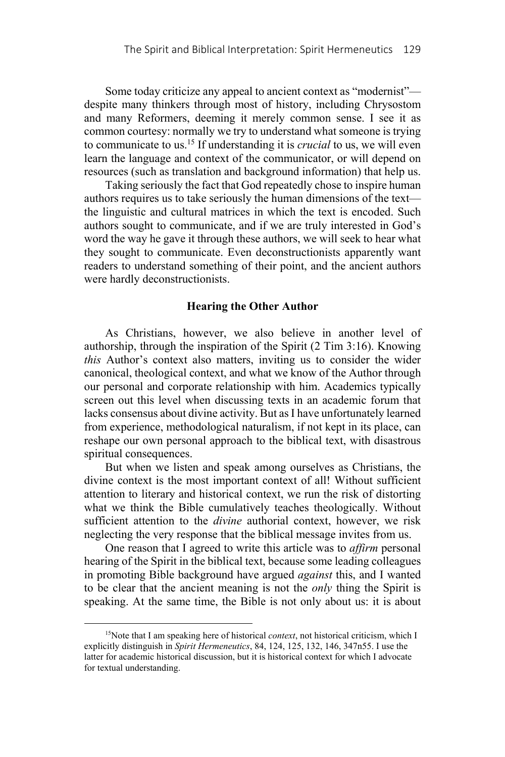Some today criticize any appeal to ancient context as "modernist" despite many thinkers through most of history, including Chrysostom and many Reformers, deeming it merely common sense. I see it as common courtesy: normally we try to understand what someone is trying to communicate to us.15 If understanding it is *crucial* to us, we will even learn the language and context of the communicator, or will depend on resources (such as translation and background information) that help us.

Taking seriously the fact that God repeatedly chose to inspire human authors requires us to take seriously the human dimensions of the text the linguistic and cultural matrices in which the text is encoded. Such authors sought to communicate, and if we are truly interested in God's word the way he gave it through these authors, we will seek to hear what they sought to communicate. Even deconstructionists apparently want readers to understand something of their point, and the ancient authors were hardly deconstructionists.

## **Hearing the Other Author**

As Christians, however, we also believe in another level of authorship, through the inspiration of the Spirit (2 Tim 3:16). Knowing *this* Author's context also matters, inviting us to consider the wider canonical, theological context, and what we know of the Author through our personal and corporate relationship with him. Academics typically screen out this level when discussing texts in an academic forum that lacks consensus about divine activity. But as I have unfortunately learned from experience, methodological naturalism, if not kept in its place, can reshape our own personal approach to the biblical text, with disastrous spiritual consequences.

But when we listen and speak among ourselves as Christians, the divine context is the most important context of all! Without sufficient attention to literary and historical context, we run the risk of distorting what we think the Bible cumulatively teaches theologically. Without sufficient attention to the *divine* authorial context, however, we risk neglecting the very response that the biblical message invites from us.

One reason that I agreed to write this article was to *affirm* personal hearing of the Spirit in the biblical text, because some leading colleagues in promoting Bible background have argued *against* this, and I wanted to be clear that the ancient meaning is not the *only* thing the Spirit is speaking. At the same time, the Bible is not only about us: it is about

<sup>&</sup>lt;sup>15</sup>Note that I am speaking here of historical *context*, not historical criticism, which I explicitly distinguish in *Spirit Hermeneutics*, 84, 124, 125, 132, 146, 347n55. I use the latter for academic historical discussion, but it is historical context for which I advocate for textual understanding.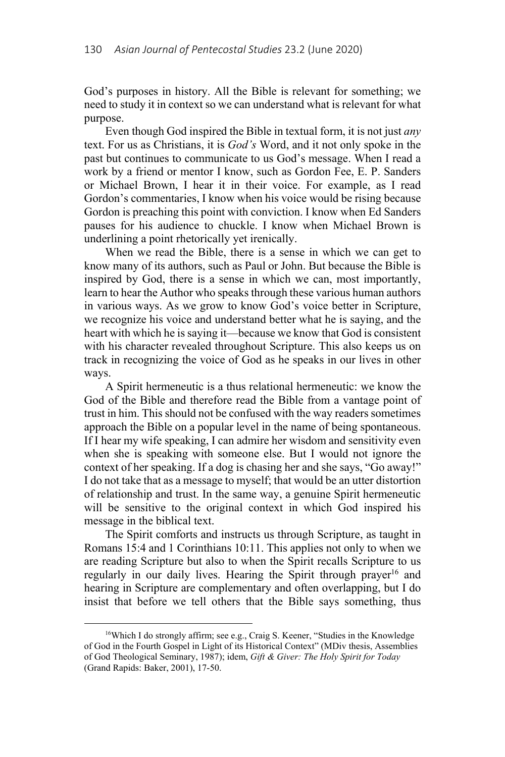God's purposes in history. All the Bible is relevant for something; we need to study it in context so we can understand what is relevant for what purpose.

Even though God inspired the Bible in textual form, it is not just *any* text. For us as Christians, it is *God's* Word, and it not only spoke in the past but continues to communicate to us God's message. When I read a work by a friend or mentor I know, such as Gordon Fee, E. P. Sanders or Michael Brown, I hear it in their voice. For example, as I read Gordon's commentaries, I know when his voice would be rising because Gordon is preaching this point with conviction. I know when Ed Sanders pauses for his audience to chuckle. I know when Michael Brown is underlining a point rhetorically yet irenically.

When we read the Bible, there is a sense in which we can get to know many of its authors, such as Paul or John. But because the Bible is inspired by God, there is a sense in which we can, most importantly, learn to hear the Author who speaks through these various human authors in various ways. As we grow to know God's voice better in Scripture, we recognize his voice and understand better what he is saying, and the heart with which he is saying it—because we know that God is consistent with his character revealed throughout Scripture. This also keeps us on track in recognizing the voice of God as he speaks in our lives in other ways.

A Spirit hermeneutic is a thus relational hermeneutic: we know the God of the Bible and therefore read the Bible from a vantage point of trust in him. This should not be confused with the way readers sometimes approach the Bible on a popular level in the name of being spontaneous. If I hear my wife speaking, I can admire her wisdom and sensitivity even when she is speaking with someone else. But I would not ignore the context of her speaking. If a dog is chasing her and she says, "Go away!" I do not take that as a message to myself; that would be an utter distortion of relationship and trust. In the same way, a genuine Spirit hermeneutic will be sensitive to the original context in which God inspired his message in the biblical text.

The Spirit comforts and instructs us through Scripture, as taught in Romans 15:4 and 1 Corinthians 10:11. This applies not only to when we are reading Scripture but also to when the Spirit recalls Scripture to us regularly in our daily lives. Hearing the Spirit through prayer<sup>16</sup> and hearing in Scripture are complementary and often overlapping, but I do insist that before we tell others that the Bible says something, thus

 <sup>16</sup>Which I do strongly affirm; see e.g., Craig S. Keener, "Studies in the Knowledge of God in the Fourth Gospel in Light of its Historical Context" (MDiv thesis, Assemblies of God Theological Seminary, 1987); idem, *Gift & Giver: The Holy Spirit for Today* (Grand Rapids: Baker, 2001), 17-50.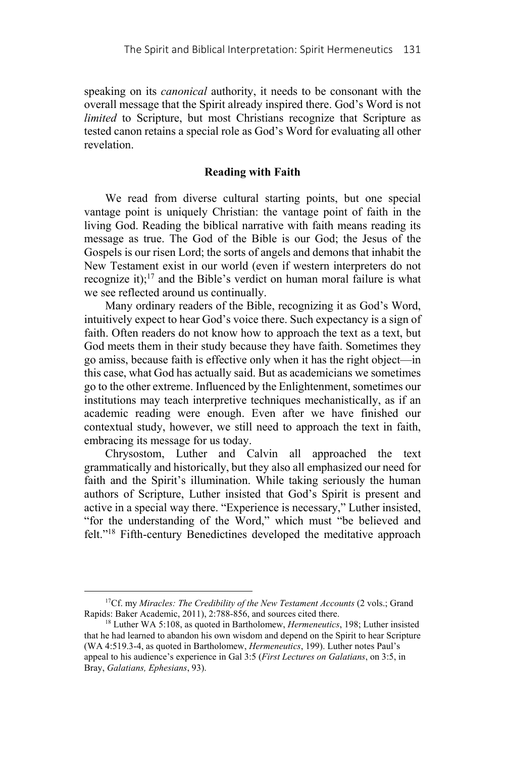speaking on its *canonical* authority, it needs to be consonant with the overall message that the Spirit already inspired there. God's Word is not *limited* to Scripture, but most Christians recognize that Scripture as tested canon retains a special role as God's Word for evaluating all other revelation.

# **Reading with Faith**

We read from diverse cultural starting points, but one special vantage point is uniquely Christian: the vantage point of faith in the living God. Reading the biblical narrative with faith means reading its message as true. The God of the Bible is our God; the Jesus of the Gospels is our risen Lord; the sorts of angels and demons that inhabit the New Testament exist in our world (even if western interpreters do not recognize it);<sup>17</sup> and the Bible's verdict on human moral failure is what we see reflected around us continually.

Many ordinary readers of the Bible, recognizing it as God's Word, intuitively expect to hear God's voice there. Such expectancy is a sign of faith. Often readers do not know how to approach the text as a text, but God meets them in their study because they have faith. Sometimes they go amiss, because faith is effective only when it has the right object—in this case, what God has actually said. But as academicians we sometimes go to the other extreme. Influenced by the Enlightenment, sometimes our institutions may teach interpretive techniques mechanistically, as if an academic reading were enough. Even after we have finished our contextual study, however, we still need to approach the text in faith, embracing its message for us today.

Chrysostom, Luther and Calvin all approached the text grammatically and historically, but they also all emphasized our need for faith and the Spirit's illumination. While taking seriously the human authors of Scripture, Luther insisted that God's Spirit is present and active in a special way there. "Experience is necessary," Luther insisted, "for the understanding of the Word," which must "be believed and felt."18 Fifth-century Benedictines developed the meditative approach

<sup>&</sup>lt;sup>17</sup>Cf. my *Miracles: The Credibility of the New Testament Accounts* (2 vols.; Grand Rapids: Baker Academic, 2011), 2:788-856, and sources cited there. 18 Luther WA 5:108, as quoted in Bartholomew, *Hermeneutics*, 198; Luther insisted

that he had learned to abandon his own wisdom and depend on the Spirit to hear Scripture (WA 4:519.3-4, as quoted in Bartholomew, *Hermeneutics*, 199). Luther notes Paul's appeal to his audience's experience in Gal 3:5 (*First Lectures on Galatians*, on 3:5, in Bray, *Galatians, Ephesians*, 93).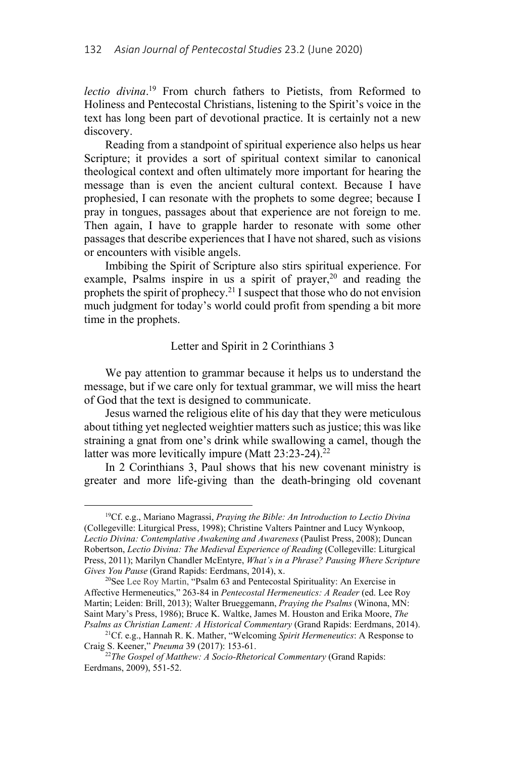*lectio divina*. 19 From church fathers to Pietists, from Reformed to Holiness and Pentecostal Christians, listening to the Spirit's voice in the text has long been part of devotional practice. It is certainly not a new discovery.

Reading from a standpoint of spiritual experience also helps us hear Scripture; it provides a sort of spiritual context similar to canonical theological context and often ultimately more important for hearing the message than is even the ancient cultural context. Because I have prophesied, I can resonate with the prophets to some degree; because I pray in tongues, passages about that experience are not foreign to me. Then again, I have to grapple harder to resonate with some other passages that describe experiences that I have not shared, such as visions or encounters with visible angels.

Imbibing the Spirit of Scripture also stirs spiritual experience. For example, Psalms inspire in us a spirit of prayer, $20$  and reading the prophets the spirit of prophecy.21 I suspect that those who do not envision much judgment for today's world could profit from spending a bit more time in the prophets.

## Letter and Spirit in 2 Corinthians 3

We pay attention to grammar because it helps us to understand the message, but if we care only for textual grammar, we will miss the heart of God that the text is designed to communicate.

Jesus warned the religious elite of his day that they were meticulous about tithing yet neglected weightier matters such as justice; this was like straining a gnat from one's drink while swallowing a camel, though the latter was more levitically impure (Matt 23:23-24).<sup>22</sup>

In 2 Corinthians 3, Paul shows that his new covenant ministry is greater and more life-giving than the death-bringing old covenant

 <sup>19</sup>Cf. e.g., Mariano Magrassi, *Praying the Bible: An Introduction to Lectio Divina* (Collegeville: Liturgical Press, 1998); Christine Valters Paintner and Lucy Wynkoop, *Lectio Divina: Contemplative Awakening and Awareness* (Paulist Press, 2008); Duncan Robertson, *Lectio Divina: The Medieval Experience of Reading* (Collegeville: Liturgical Press, 2011); Marilyn Chandler McEntyre, *What's in a Phrase? Pausing Where Scripture* 

<sup>&</sup>lt;sup>20</sup>See Lee Roy Martin, "Psalm 63 and Pentecostal Spirituality: An Exercise in Affective Hermeneutics," 263-84 in *Pentecostal Hermeneutics: A Reader* (ed. Lee Roy Martin; Leiden: Brill, 2013); Walter Brueggemann, *Praying the Psalms* (Winona, MN: Saint Mary's Press, 1986); Bruce K. Waltke, James M. Houston and Erika Moore, *The* 

<sup>&</sup>lt;sup>21</sup>Cf. e.g., Hannah R. K. Mather, "Welcoming *Spirit Hermeneutics*: A Response to Craig S. Keener," *Pneuma* 39 (2017): 153-61. 22*The Gospel of Matthew: A Socio-Rhetorical Commentary* (Grand Rapids:

Eerdmans, 2009), 551-52.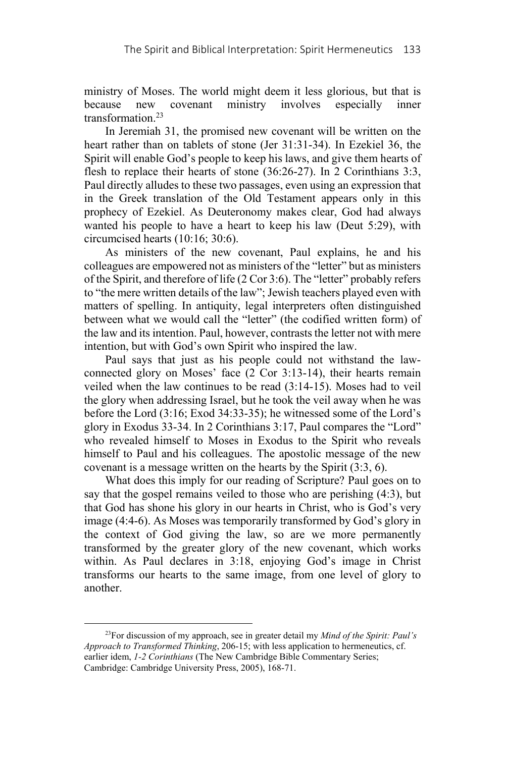ministry of Moses. The world might deem it less glorious, but that is because new covenant ministry involves especially inner transformation.23

In Jeremiah 31, the promised new covenant will be written on the heart rather than on tablets of stone (Jer 31:31-34). In Ezekiel 36, the Spirit will enable God's people to keep his laws, and give them hearts of flesh to replace their hearts of stone (36:26-27). In 2 Corinthians 3:3, Paul directly alludes to these two passages, even using an expression that in the Greek translation of the Old Testament appears only in this prophecy of Ezekiel. As Deuteronomy makes clear, God had always wanted his people to have a heart to keep his law (Deut 5:29), with circumcised hearts (10:16; 30:6).

As ministers of the new covenant, Paul explains, he and his colleagues are empowered not as ministers of the "letter" but as ministers of the Spirit, and therefore of life (2 Cor 3:6). The "letter" probably refers to "the mere written details of the law"; Jewish teachers played even with matters of spelling. In antiquity, legal interpreters often distinguished between what we would call the "letter" (the codified written form) of the law and its intention. Paul, however, contrasts the letter not with mere intention, but with God's own Spirit who inspired the law.

Paul says that just as his people could not withstand the lawconnected glory on Moses' face (2 Cor 3:13-14), their hearts remain veiled when the law continues to be read (3:14-15). Moses had to veil the glory when addressing Israel, but he took the veil away when he was before the Lord (3:16; Exod 34:33-35); he witnessed some of the Lord's glory in Exodus 33-34. In 2 Corinthians 3:17, Paul compares the "Lord" who revealed himself to Moses in Exodus to the Spirit who reveals himself to Paul and his colleagues. The apostolic message of the new covenant is a message written on the hearts by the Spirit (3:3, 6).

What does this imply for our reading of Scripture? Paul goes on to say that the gospel remains veiled to those who are perishing (4:3), but that God has shone his glory in our hearts in Christ, who is God's very image (4:4-6). As Moses was temporarily transformed by God's glory in the context of God giving the law, so are we more permanently transformed by the greater glory of the new covenant, which works within. As Paul declares in 3:18, enjoying God's image in Christ transforms our hearts to the same image, from one level of glory to another.

 <sup>23</sup>For discussion of my approach, see in greater detail my *Mind of the Spirit: Paul's Approach to Transformed Thinking*, 206-15; with less application to hermeneutics, cf. earlier idem, *1-2 Corinthians* (The New Cambridge Bible Commentary Series; Cambridge: Cambridge University Press, 2005), 168-71.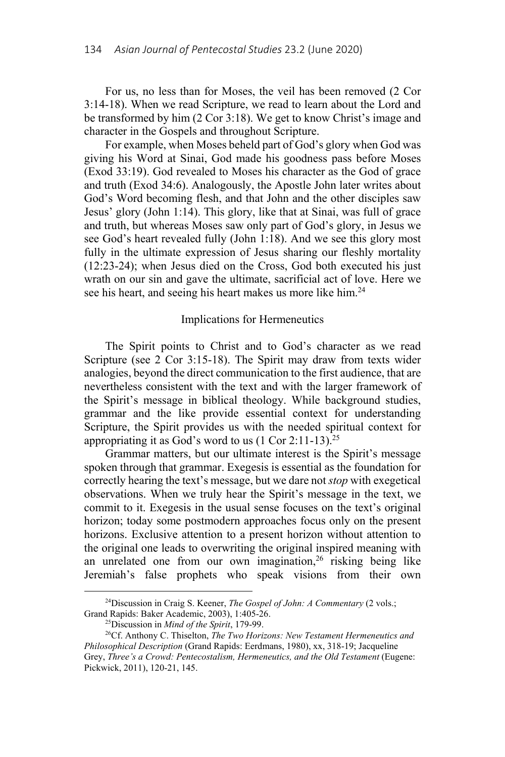For us, no less than for Moses, the veil has been removed (2 Cor 3:14-18). When we read Scripture, we read to learn about the Lord and be transformed by him (2 Cor 3:18). We get to know Christ's image and character in the Gospels and throughout Scripture.

For example, when Moses beheld part of God's glory when God was giving his Word at Sinai, God made his goodness pass before Moses (Exod 33:19). God revealed to Moses his character as the God of grace and truth (Exod 34:6). Analogously, the Apostle John later writes about God's Word becoming flesh, and that John and the other disciples saw Jesus' glory (John 1:14). This glory, like that at Sinai, was full of grace and truth, but whereas Moses saw only part of God's glory, in Jesus we see God's heart revealed fully (John 1:18). And we see this glory most fully in the ultimate expression of Jesus sharing our fleshly mortality (12:23-24); when Jesus died on the Cross, God both executed his just wrath on our sin and gave the ultimate, sacrificial act of love. Here we see his heart, and seeing his heart makes us more like him.<sup>24</sup>

## Implications for Hermeneutics

The Spirit points to Christ and to God's character as we read Scripture (see 2 Cor 3:15-18). The Spirit may draw from texts wider analogies, beyond the direct communication to the first audience, that are nevertheless consistent with the text and with the larger framework of the Spirit's message in biblical theology. While background studies, grammar and the like provide essential context for understanding Scripture, the Spirit provides us with the needed spiritual context for appropriating it as God's word to us  $(1 \text{ Cor } 2:11-13).^{25}$ 

Grammar matters, but our ultimate interest is the Spirit's message spoken through that grammar. Exegesis is essential as the foundation for correctly hearing the text's message, but we dare not *stop* with exegetical observations. When we truly hear the Spirit's message in the text, we commit to it. Exegesis in the usual sense focuses on the text's original horizon; today some postmodern approaches focus only on the present horizons. Exclusive attention to a present horizon without attention to the original one leads to overwriting the original inspired meaning with an unrelated one from our own imagination,  $26$  risking being like Jeremiah's false prophets who speak visions from their own

 <sup>24</sup>Discussion in Craig S. Keener, *The Gospel of John: A Commentary* (2 vols.; Grand Rapids: Baker Academic, 2003), 1:405-26.<br><sup>25</sup>Discussion in *Mind of the Spirit*, 179-99.<br><sup>26</sup>Cf. Anthony C. Thiselton, *The Two Horizons: New Testament Hermeneutics and* 

*Philosophical Description* (Grand Rapids: Eerdmans, 1980), xx, 318-19; Jacqueline Grey, *Three's a Crowd: Pentecostalism, Hermeneutics, and the Old Testament* (Eugene: Pickwick, 2011), 120-21, 145.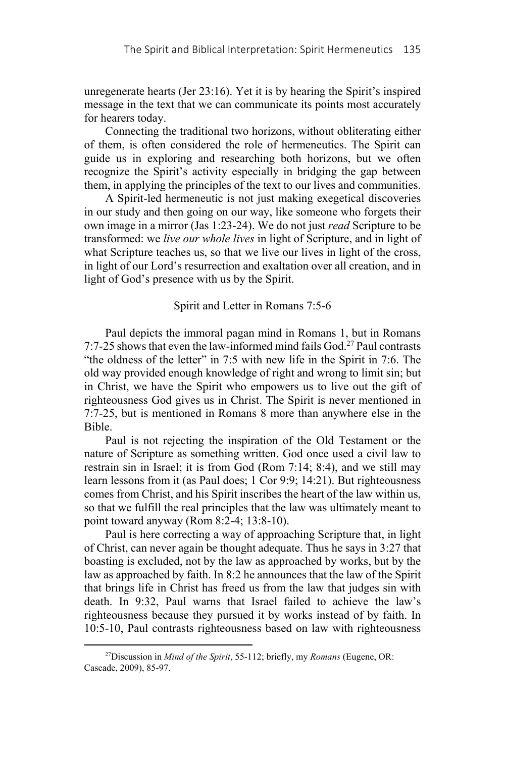unregenerate hearts (Jer 23:16). Yet it is by hearing the Spirit's inspired message in the text that we can communicate its points most accurately for hearers today.

Connecting the traditional two horizons, without obliterating either of them, is often considered the role of hermeneutics. The Spirit can guide us in exploring and researching both horizons, but we often recognize the Spirit's activity especially in bridging the gap between them, in applying the principles of the text to our lives and communities.

A Spirit-led hermeneutic is not just making exegetical discoveries in our study and then going on our way, like someone who forgets their own image in a mirror (Jas 1:23-24). We do not just *read* Scripture to be transformed: we *live our whole lives* in light of Scripture, and in light of what Scripture teaches us, so that we live our lives in light of the cross, in light of our Lord's resurrection and exaltation over all creation, and in light of God's presence with us by the Spirit.

## Spirit and Letter in Romans 7:5-6

Paul depicts the immoral pagan mind in Romans 1, but in Romans 7:7-25 shows that even the law-informed mind fails God.27 Paul contrasts "the oldness of the letter" in 7:5 with new life in the Spirit in 7:6. The old way provided enough knowledge of right and wrong to limit sin; but in Christ, we have the Spirit who empowers us to live out the gift of righteousness God gives us in Christ. The Spirit is never mentioned in 7:7-25, but is mentioned in Romans 8 more than anywhere else in the Bible.

Paul is not rejecting the inspiration of the Old Testament or the nature of Scripture as something written. God once used a civil law to restrain sin in Israel; it is from God (Rom 7:14; 8:4), and we still may learn lessons from it (as Paul does; 1 Cor 9:9; 14:21). But righteousness comes from Christ, and his Spirit inscribes the heart of the law within us, so that we fulfill the real principles that the law was ultimately meant to point toward anyway (Rom 8:2-4; 13:8-10).

Paul is here correcting a way of approaching Scripture that, in light of Christ, can never again be thought adequate. Thus he says in 3:27 that boasting is excluded, not by the law as approached by works, but by the law as approached by faith. In 8:2 he announces that the law of the Spirit that brings life in Christ has freed us from the law that judges sin with death. In 9:32, Paul warns that Israel failed to achieve the law's righteousness because they pursued it by works instead of by faith. In 10:5-10, Paul contrasts righteousness based on law with righteousness

 <sup>27</sup>Discussion in *Mind of the Spirit*, 55-112; briefly, my *Romans* (Eugene, OR: Cascade, 2009), 85-97.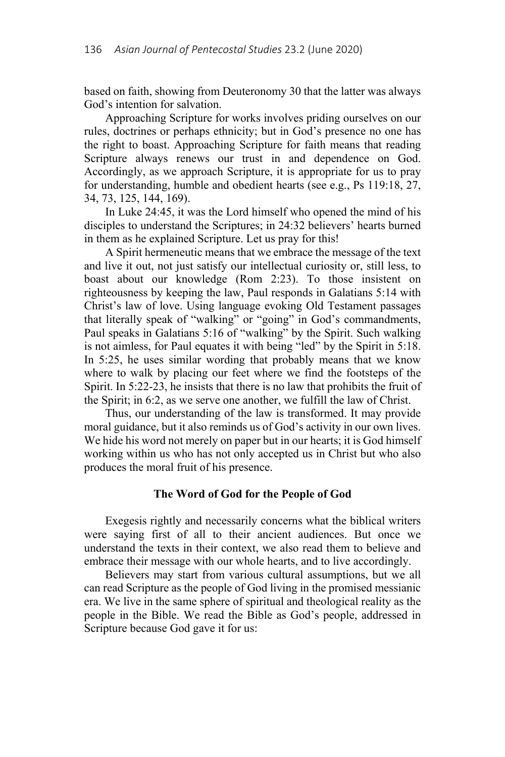based on faith, showing from Deuteronomy 30 that the latter was always God's intention for salvation.

Approaching Scripture for works involves priding ourselves on our rules, doctrines or perhaps ethnicity; but in God's presence no one has the right to boast. Approaching Scripture for faith means that reading Scripture always renews our trust in and dependence on God. Accordingly, as we approach Scripture, it is appropriate for us to pray for understanding, humble and obedient hearts (see e.g., Ps 119:18, 27, 34, 73, 125, 144, 169).

In Luke 24:45, it was the Lord himself who opened the mind of his disciples to understand the Scriptures; in 24:32 believers' hearts burned in them as he explained Scripture. Let us pray for this!

A Spirit hermeneutic means that we embrace the message of the text and live it out, not just satisfy our intellectual curiosity or, still less, to boast about our knowledge (Rom 2:23). To those insistent on righteousness by keeping the law, Paul responds in Galatians 5:14 with Christ's law of love. Using language evoking Old Testament passages that literally speak of "walking" or "going" in God's commandments, Paul speaks in Galatians 5:16 of "walking" by the Spirit. Such walking is not aimless, for Paul equates it with being "led" by the Spirit in 5:18. In 5:25, he uses similar wording that probably means that we know where to walk by placing our feet where we find the footsteps of the Spirit. In 5:22-23, he insists that there is no law that prohibits the fruit of the Spirit; in 6:2, as we serve one another, we fulfill the law of Christ.

Thus, our understanding of the law is transformed. It may provide moral guidance, but it also reminds us of God's activity in our own lives. We hide his word not merely on paper but in our hearts; it is God himself working within us who has not only accepted us in Christ but who also produces the moral fruit of his presence.

## **The Word of God for the People of God**

Exegesis rightly and necessarily concerns what the biblical writers were saying first of all to their ancient audiences. But once we understand the texts in their context, we also read them to believe and embrace their message with our whole hearts, and to live accordingly.

Believers may start from various cultural assumptions, but we all can read Scripture as the people of God living in the promised messianic era. We live in the same sphere of spiritual and theological reality as the people in the Bible. We read the Bible as God's people, addressed in Scripture because God gave it for us: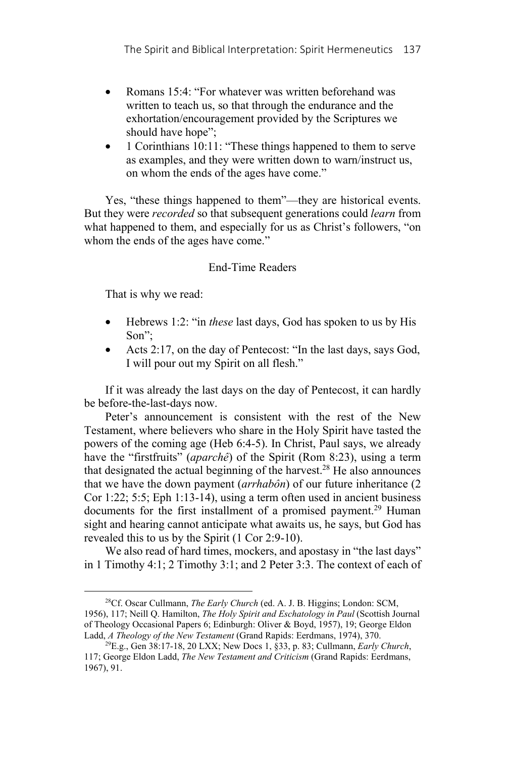- Romans 15:4: "For whatever was written beforehand was written to teach us, so that through the endurance and the exhortation/encouragement provided by the Scriptures we should have hope";
- 1 Corinthians 10:11: "These things happened to them to serve as examples, and they were written down to warn/instruct us, on whom the ends of the ages have come."

Yes, "these things happened to them"—they are historical events. But they were *recorded* so that subsequent generations could *learn* from what happened to them, and especially for us as Christ's followers, "on whom the ends of the ages have come."

## End-Time Readers

That is why we read:

- Hebrews 1:2: "in *these* last days, God has spoken to us by His Son";
- Acts 2:17, on the day of Pentecost: "In the last days, says God, I will pour out my Spirit on all flesh."

If it was already the last days on the day of Pentecost, it can hardly be before-the-last-days now.

Peter's announcement is consistent with the rest of the New Testament, where believers who share in the Holy Spirit have tasted the powers of the coming age (Heb 6:4-5). In Christ, Paul says, we already have the "firstfruits" (*aparchê*) of the Spirit (Rom 8:23), using a term that designated the actual beginning of the harvest.<sup>28</sup> He also announces that we have the down payment (*arrhabôn*) of our future inheritance (2 Cor 1:22; 5:5; Eph 1:13-14), using a term often used in ancient business documents for the first installment of a promised payment.<sup>29</sup> Human sight and hearing cannot anticipate what awaits us, he says, but God has revealed this to us by the Spirit (1 Cor 2:9-10).

We also read of hard times, mockers, and apostasy in "the last days" in 1 Timothy 4:1; 2 Timothy 3:1; and 2 Peter 3:3. The context of each of

 <sup>28</sup>Cf. Oscar Cullmann, *The Early Church* (ed. A. J. B. Higgins; London: SCM, 1956), 117; Neill Q. Hamilton, *The Holy Spirit and Eschatology in Paul* (Scottish Journal of Theology Occasional Papers 6; Edinburgh: Oliver & Boyd, 1957), 19; George Eldon Ladd, *A Theology of the New Testament* (Grand Rapids: Eerdmans, 1974), 370. 29E.g., Gen 38:17-18, 20 LXX; New Docs 1, §33, p. 83; Cullmann, *Early Church*,

<sup>117;</sup> George Eldon Ladd, *The New Testament and Criticism* (Grand Rapids: Eerdmans, 1967), 91.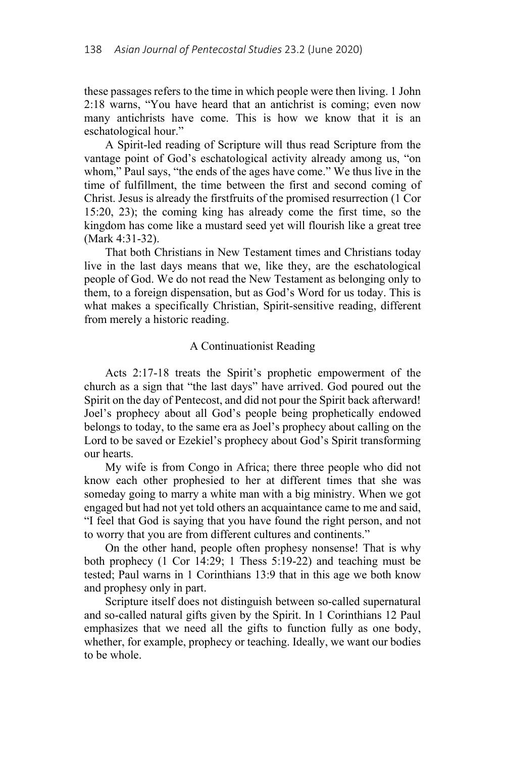these passages refers to the time in which people were then living. 1 John 2:18 warns, "You have heard that an antichrist is coming; even now many antichrists have come. This is how we know that it is an eschatological hour."

A Spirit-led reading of Scripture will thus read Scripture from the vantage point of God's eschatological activity already among us, "on whom," Paul says, "the ends of the ages have come." We thus live in the time of fulfillment, the time between the first and second coming of Christ. Jesus is already the firstfruits of the promised resurrection (1 Cor 15:20, 23); the coming king has already come the first time, so the kingdom has come like a mustard seed yet will flourish like a great tree (Mark 4:31-32).

That both Christians in New Testament times and Christians today live in the last days means that we, like they, are the eschatological people of God. We do not read the New Testament as belonging only to them, to a foreign dispensation, but as God's Word for us today. This is what makes a specifically Christian, Spirit-sensitive reading, different from merely a historic reading.

## A Continuationist Reading

Acts 2:17-18 treats the Spirit's prophetic empowerment of the church as a sign that "the last days" have arrived. God poured out the Spirit on the day of Pentecost, and did not pour the Spirit back afterward! Joel's prophecy about all God's people being prophetically endowed belongs to today, to the same era as Joel's prophecy about calling on the Lord to be saved or Ezekiel's prophecy about God's Spirit transforming our hearts.

My wife is from Congo in Africa; there three people who did not know each other prophesied to her at different times that she was someday going to marry a white man with a big ministry. When we got engaged but had not yet told others an acquaintance came to me and said, "I feel that God is saying that you have found the right person, and not to worry that you are from different cultures and continents."

On the other hand, people often prophesy nonsense! That is why both prophecy (1 Cor 14:29; 1 Thess 5:19-22) and teaching must be tested; Paul warns in 1 Corinthians 13:9 that in this age we both know and prophesy only in part.

Scripture itself does not distinguish between so-called supernatural and so-called natural gifts given by the Spirit. In 1 Corinthians 12 Paul emphasizes that we need all the gifts to function fully as one body, whether, for example, prophecy or teaching. Ideally, we want our bodies to be whole.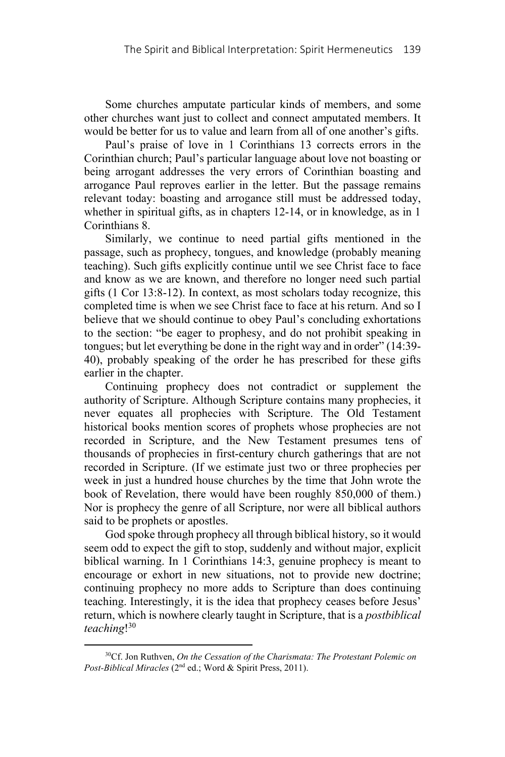Some churches amputate particular kinds of members, and some other churches want just to collect and connect amputated members. It would be better for us to value and learn from all of one another's gifts.

Paul's praise of love in 1 Corinthians 13 corrects errors in the Corinthian church; Paul's particular language about love not boasting or being arrogant addresses the very errors of Corinthian boasting and arrogance Paul reproves earlier in the letter. But the passage remains relevant today: boasting and arrogance still must be addressed today, whether in spiritual gifts, as in chapters 12-14, or in knowledge, as in 1 Corinthians 8.

Similarly, we continue to need partial gifts mentioned in the passage, such as prophecy, tongues, and knowledge (probably meaning teaching). Such gifts explicitly continue until we see Christ face to face and know as we are known, and therefore no longer need such partial gifts (1 Cor 13:8-12). In context, as most scholars today recognize, this completed time is when we see Christ face to face at his return. And so I believe that we should continue to obey Paul's concluding exhortations to the section: "be eager to prophesy, and do not prohibit speaking in tongues; but let everything be done in the right way and in order" (14:39- 40), probably speaking of the order he has prescribed for these gifts earlier in the chapter.

Continuing prophecy does not contradict or supplement the authority of Scripture. Although Scripture contains many prophecies, it never equates all prophecies with Scripture. The Old Testament historical books mention scores of prophets whose prophecies are not recorded in Scripture, and the New Testament presumes tens of thousands of prophecies in first-century church gatherings that are not recorded in Scripture. (If we estimate just two or three prophecies per week in just a hundred house churches by the time that John wrote the book of Revelation, there would have been roughly 850,000 of them.) Nor is prophecy the genre of all Scripture, nor were all biblical authors said to be prophets or apostles.

God spoke through prophecy all through biblical history, so it would seem odd to expect the gift to stop, suddenly and without major, explicit biblical warning. In 1 Corinthians 14:3, genuine prophecy is meant to encourage or exhort in new situations, not to provide new doctrine; continuing prophecy no more adds to Scripture than does continuing teaching. Interestingly, it is the idea that prophecy ceases before Jesus' return, which is nowhere clearly taught in Scripture, that is a *postbiblical teaching*! 30

 <sup>30</sup>Cf. Jon Ruthven, *On the Cessation of the Charismata: The Protestant Polemic on Post-Biblical Miracles* (2nd ed.; Word & Spirit Press, 2011).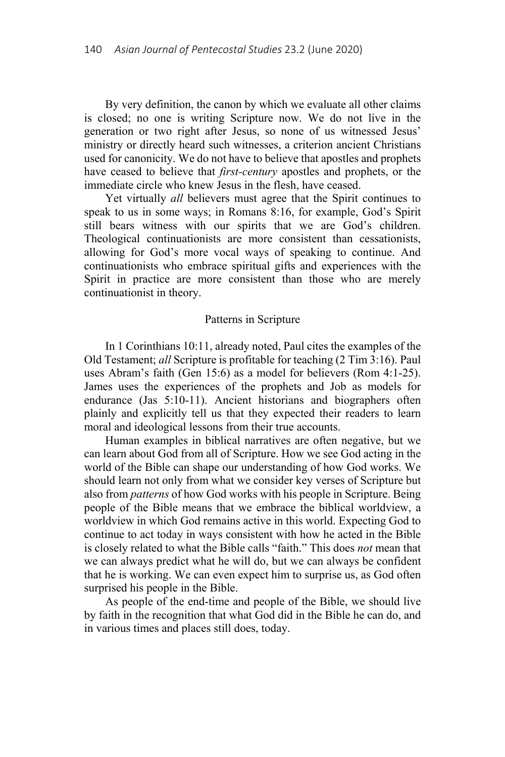By very definition, the canon by which we evaluate all other claims is closed; no one is writing Scripture now. We do not live in the generation or two right after Jesus, so none of us witnessed Jesus' ministry or directly heard such witnesses, a criterion ancient Christians used for canonicity. We do not have to believe that apostles and prophets have ceased to believe that *first-century* apostles and prophets, or the immediate circle who knew Jesus in the flesh, have ceased.

Yet virtually *all* believers must agree that the Spirit continues to speak to us in some ways; in Romans 8:16, for example, God's Spirit still bears witness with our spirits that we are God's children. Theological continuationists are more consistent than cessationists, allowing for God's more vocal ways of speaking to continue. And continuationists who embrace spiritual gifts and experiences with the Spirit in practice are more consistent than those who are merely continuationist in theory.

#### Patterns in Scripture

In 1 Corinthians 10:11, already noted, Paul cites the examples of the Old Testament; *all* Scripture is profitable for teaching (2 Tim 3:16). Paul uses Abram's faith (Gen 15:6) as a model for believers (Rom 4:1-25). James uses the experiences of the prophets and Job as models for endurance (Jas 5:10-11). Ancient historians and biographers often plainly and explicitly tell us that they expected their readers to learn moral and ideological lessons from their true accounts.

Human examples in biblical narratives are often negative, but we can learn about God from all of Scripture. How we see God acting in the world of the Bible can shape our understanding of how God works. We should learn not only from what we consider key verses of Scripture but also from *patterns* of how God works with his people in Scripture. Being people of the Bible means that we embrace the biblical worldview, a worldview in which God remains active in this world. Expecting God to continue to act today in ways consistent with how he acted in the Bible is closely related to what the Bible calls "faith." This does *not* mean that we can always predict what he will do, but we can always be confident that he is working. We can even expect him to surprise us, as God often surprised his people in the Bible.

As people of the end-time and people of the Bible, we should live by faith in the recognition that what God did in the Bible he can do, and in various times and places still does, today.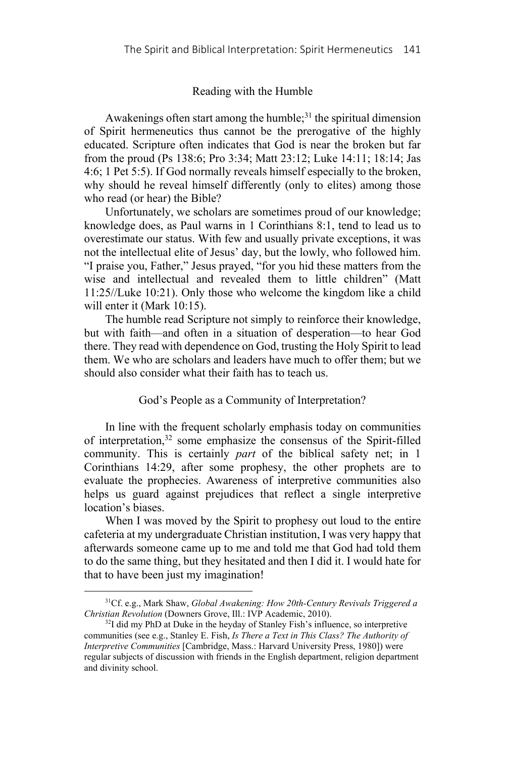### Reading with the Humble

Awakenings often start among the humble; $31$  the spiritual dimension of Spirit hermeneutics thus cannot be the prerogative of the highly educated. Scripture often indicates that God is near the broken but far from the proud (Ps 138:6; Pro 3:34; Matt 23:12; Luke 14:11; 18:14; Jas 4:6; 1 Pet 5:5). If God normally reveals himself especially to the broken, why should he reveal himself differently (only to elites) among those who read (or hear) the Bible?

Unfortunately, we scholars are sometimes proud of our knowledge; knowledge does, as Paul warns in 1 Corinthians 8:1, tend to lead us to overestimate our status. With few and usually private exceptions, it was not the intellectual elite of Jesus' day, but the lowly, who followed him. "I praise you, Father," Jesus prayed, "for you hid these matters from the wise and intellectual and revealed them to little children" (Matt 11:25//Luke 10:21). Only those who welcome the kingdom like a child will enter it (Mark 10:15).

The humble read Scripture not simply to reinforce their knowledge, but with faith—and often in a situation of desperation—to hear God there. They read with dependence on God, trusting the Holy Spirit to lead them. We who are scholars and leaders have much to offer them; but we should also consider what their faith has to teach us.

## God's People as a Community of Interpretation?

In line with the frequent scholarly emphasis today on communities of interpretation,<sup>32</sup> some emphasize the consensus of the Spirit-filled community. This is certainly *part* of the biblical safety net; in 1 Corinthians 14:29, after some prophesy, the other prophets are to evaluate the prophecies. Awareness of interpretive communities also helps us guard against prejudices that reflect a single interpretive location's biases.

When I was moved by the Spirit to prophesy out loud to the entire cafeteria at my undergraduate Christian institution, I was very happy that afterwards someone came up to me and told me that God had told them to do the same thing, but they hesitated and then I did it. I would hate for that to have been just my imagination!

 <sup>31</sup>Cf. e.g., Mark Shaw, *Global Awakening: How 20th-Century Revivals Triggered a Christian Revolution* (Downers Grove, Ill.: IVP Academic, 2010). <sup>32</sup>I did my PhD at Duke in the heyday of Stanley Fish's influence, so interpretive

communities (see e.g., Stanley E. Fish, *Is There a Text in This Class? The Authority of Interpretive Communities* [Cambridge, Mass.: Harvard University Press, 1980]) were regular subjects of discussion with friends in the English department, religion department and divinity school.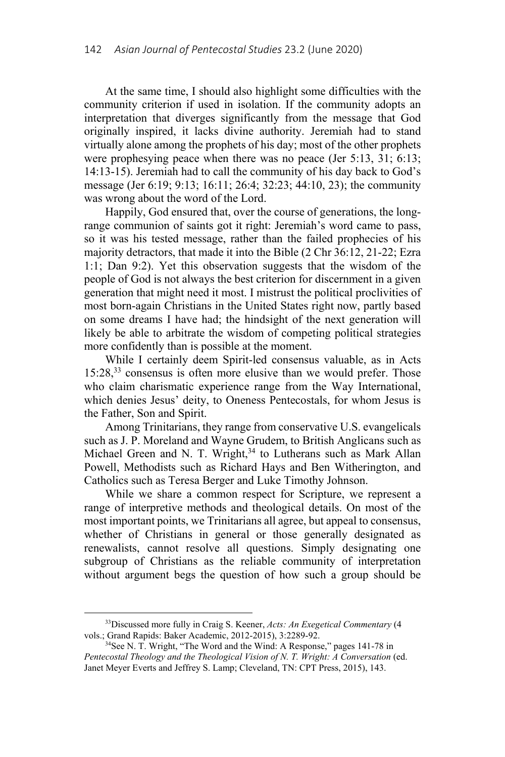At the same time, I should also highlight some difficulties with the community criterion if used in isolation. If the community adopts an interpretation that diverges significantly from the message that God originally inspired, it lacks divine authority. Jeremiah had to stand virtually alone among the prophets of his day; most of the other prophets were prophesying peace when there was no peace (Jer 5:13, 31; 6:13; 14:13-15). Jeremiah had to call the community of his day back to God's message (Jer 6:19; 9:13; 16:11; 26:4; 32:23; 44:10, 23); the community was wrong about the word of the Lord.

Happily, God ensured that, over the course of generations, the longrange communion of saints got it right: Jeremiah's word came to pass, so it was his tested message, rather than the failed prophecies of his majority detractors, that made it into the Bible (2 Chr 36:12, 21-22; Ezra 1:1; Dan 9:2). Yet this observation suggests that the wisdom of the people of God is not always the best criterion for discernment in a given generation that might need it most. I mistrust the political proclivities of most born-again Christians in the United States right now, partly based on some dreams I have had; the hindsight of the next generation will likely be able to arbitrate the wisdom of competing political strategies more confidently than is possible at the moment.

While I certainly deem Spirit-led consensus valuable, as in Acts 15:28,33 consensus is often more elusive than we would prefer. Those who claim charismatic experience range from the Way International, which denies Jesus' deity, to Oneness Pentecostals, for whom Jesus is the Father, Son and Spirit.

Among Trinitarians, they range from conservative U.S. evangelicals such as J. P. Moreland and Wayne Grudem, to British Anglicans such as Michael Green and N. T. Wright,<sup>34</sup> to Lutherans such as Mark Allan Powell, Methodists such as Richard Hays and Ben Witherington, and Catholics such as Teresa Berger and Luke Timothy Johnson.

While we share a common respect for Scripture, we represent a range of interpretive methods and theological details. On most of the most important points, we Trinitarians all agree, but appeal to consensus, whether of Christians in general or those generally designated as renewalists, cannot resolve all questions. Simply designating one subgroup of Christians as the reliable community of interpretation without argument begs the question of how such a group should be

 <sup>33</sup>Discussed more fully in Craig S. Keener, *Acts: An Exegetical Commentary* (4 vols.; Grand Rapids: Baker Academic, 2012-2015), 3:2289-92.<br><sup>34</sup>See N. T. Wright, "The Word and the Wind: A Response," pages 141-78 in

*Pentecostal Theology and the Theological Vision of N. T. Wright: A Conversation* (ed. Janet Meyer Everts and Jeffrey S. Lamp; Cleveland, TN: CPT Press, 2015), 143.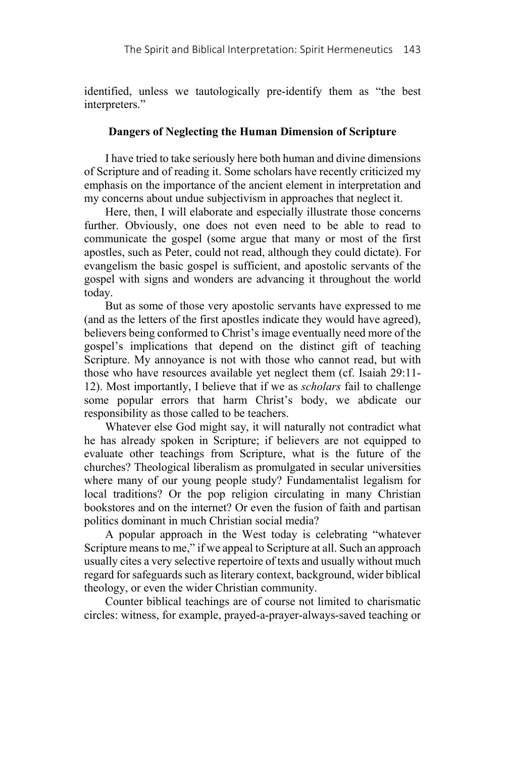identified, unless we tautologically pre-identify them as "the best interpreters."

# **Dangers of Neglecting the Human Dimension of Scripture**

I have tried to take seriously here both human and divine dimensions of Scripture and of reading it. Some scholars have recently criticized my emphasis on the importance of the ancient element in interpretation and my concerns about undue subjectivism in approaches that neglect it.

Here, then, I will elaborate and especially illustrate those concerns further. Obviously, one does not even need to be able to read to communicate the gospel (some argue that many or most of the first apostles, such as Peter, could not read, although they could dictate). For evangelism the basic gospel is sufficient, and apostolic servants of the gospel with signs and wonders are advancing it throughout the world today.

But as some of those very apostolic servants have expressed to me (and as the letters of the first apostles indicate they would have agreed), believers being conformed to Christ's image eventually need more of the gospel's implications that depend on the distinct gift of teaching Scripture. My annoyance is not with those who cannot read, but with those who have resources available yet neglect them (cf. Isaiah 29:11- 12). Most importantly, I believe that if we as *scholars* fail to challenge some popular errors that harm Christ's body, we abdicate our responsibility as those called to be teachers.

Whatever else God might say, it will naturally not contradict what he has already spoken in Scripture; if believers are not equipped to evaluate other teachings from Scripture, what is the future of the churches? Theological liberalism as promulgated in secular universities where many of our young people study? Fundamentalist legalism for local traditions? Or the pop religion circulating in many Christian bookstores and on the internet? Or even the fusion of faith and partisan politics dominant in much Christian social media?

A popular approach in the West today is celebrating "whatever Scripture means to me," if we appeal to Scripture at all. Such an approach usually cites a very selective repertoire of texts and usually without much regard for safeguards such as literary context, background, wider biblical theology, or even the wider Christian community.

Counter biblical teachings are of course not limited to charismatic circles: witness, for example, prayed-a-prayer-always-saved teaching or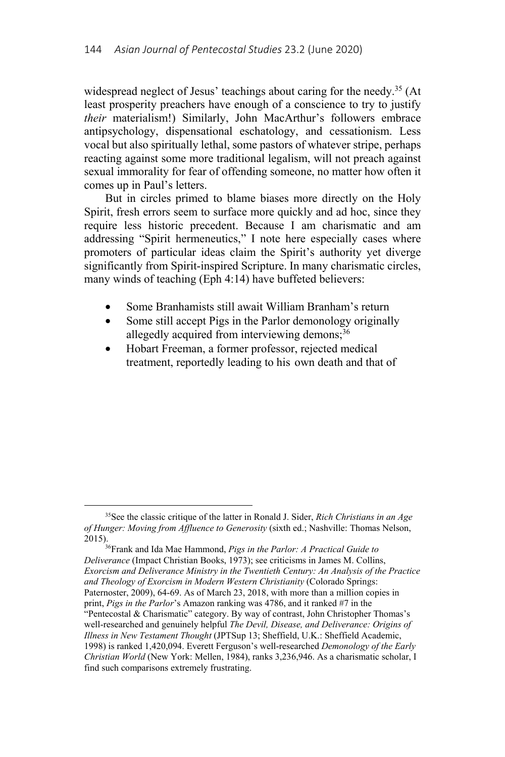widespread neglect of Jesus' teachings about caring for the needy.<sup>35</sup> (At least prosperity preachers have enough of a conscience to try to justify *their* materialism!) Similarly, John MacArthur's followers embrace antipsychology, dispensational eschatology, and cessationism. Less vocal but also spiritually lethal, some pastors of whatever stripe, perhaps reacting against some more traditional legalism, will not preach against sexual immorality for fear of offending someone, no matter how often it comes up in Paul's letters.

But in circles primed to blame biases more directly on the Holy Spirit, fresh errors seem to surface more quickly and ad hoc, since they require less historic precedent. Because I am charismatic and am addressing "Spirit hermeneutics," I note here especially cases where promoters of particular ideas claim the Spirit's authority yet diverge significantly from Spirit-inspired Scripture. In many charismatic circles, many winds of teaching (Eph 4:14) have buffeted believers:

- Some Branhamists still await William Branham's return
- Some still accept Pigs in the Parlor demonology originally allegedly acquired from interviewing demons;<sup>36</sup>
- Hobart Freeman, a former professor, rejected medical treatment, reportedly leading to his own death and that of

<sup>36</sup>Frank and Ida Mae Hammond, *Pigs in the Parlor: A Practical Guide to Deliverance* (Impact Christian Books, 1973); see criticisms in James M. Collins, *Exorcism and Deliverance Ministry in the Twentieth Century: An Analysis of the Practice and Theology of Exorcism in Modern Western Christianity* (Colorado Springs: Paternoster, 2009), 64-69. As of March 23, 2018, with more than a million copies in print, *Pigs in the Parlor*'s Amazon ranking was 4786, and it ranked #7 in the "Pentecostal & Charismatic" category. By way of contrast, John Christopher Thomas's well-researched and genuinely helpful *The Devil, Disease, and Deliverance: Origins of Illness in New Testament Thought* (JPTSup 13; Sheffield, U.K.: Sheffield Academic, 1998) is ranked 1,420,094. Everett Ferguson's well-researched *Demonology of the Early Christian World* (New York: Mellen, 1984), ranks 3,236,946. As a charismatic scholar, I find such comparisons extremely frustrating.

 <sup>35</sup>See the classic critique of the latter in Ronald J. Sider, *Rich Christians in an Age of Hunger: Moving from Affluence to Generosity* (sixth ed.; Nashville: Thomas Nelson,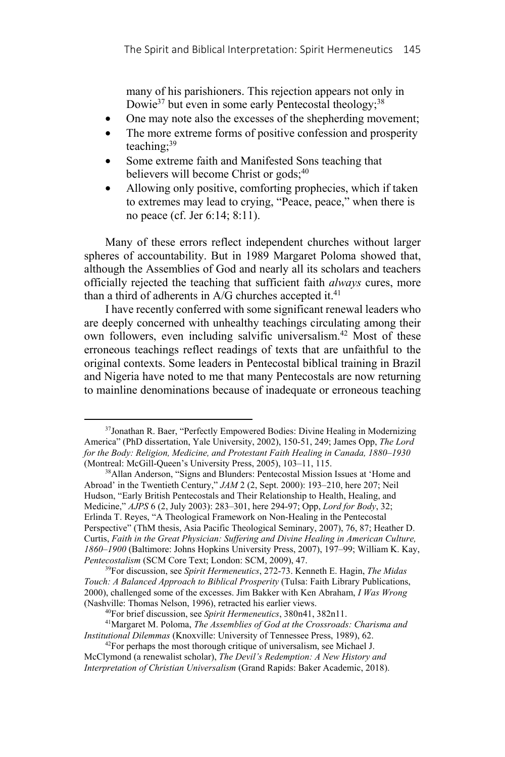many of his parishioners. This rejection appears not only in Dowie<sup>37</sup> but even in some early Pentecostal theology;<sup>38</sup>

- One may note also the excesses of the shepherding movement;
- The more extreme forms of positive confession and prosperity teaching;39
- Some extreme faith and Manifested Sons teaching that believers will become Christ or gods;<sup>40</sup>
- Allowing only positive, comforting prophecies, which if taken to extremes may lead to crying, "Peace, peace," when there is no peace (cf. Jer 6:14; 8:11).

Many of these errors reflect independent churches without larger spheres of accountability. But in 1989 Margaret Poloma showed that, although the Assemblies of God and nearly all its scholars and teachers officially rejected the teaching that sufficient faith *always* cures, more than a third of adherents in  $A/G$  churches accepted it.<sup>41</sup>

I have recently conferred with some significant renewal leaders who are deeply concerned with unhealthy teachings circulating among their own followers, even including salvific universalism.<sup>42</sup> Most of these erroneous teachings reflect readings of texts that are unfaithful to the original contexts. Some leaders in Pentecostal biblical training in Brazil and Nigeria have noted to me that many Pentecostals are now returning to mainline denominations because of inadequate or erroneous teaching

<sup>&</sup>lt;sup>37</sup>Jonathan R. Baer, "Perfectly Empowered Bodies: Divine Healing in Modernizing America" (PhD dissertation, Yale University, 2002), 150-51, 249; James Opp, *The Lord for the Body: Religion, Medicine, and Protestant Faith Healing in Canada, 1880–1930* (Montreal: McGill-Queen's University Press, 2005), 103–11, 115.

<sup>38</sup>Allan Anderson, "Signs and Blunders: Pentecostal Mission Issues at 'Home and Abroad' in the Twentieth Century," *JAM* 2 (2, Sept. 2000): 193–210, here 207; Neil Hudson, "Early British Pentecostals and Their Relationship to Health, Healing, and Medicine," *AJPS* 6 (2, July 2003): 283–301, here 294-97; Opp, *Lord for Body*, 32; Erlinda T. Reyes, "A Theological Framework on Non-Healing in the Pentecostal Perspective" (ThM thesis, Asia Pacific Theological Seminary, 2007), 76, 87; Heather D. Curtis, *Faith in the Great Physician: Suffering and Divine Healing in American Culture, 1860–1900* (Baltimore: Johns Hopkins University Press, 2007), 197–99; William K. Kay, *Pentecostalism* (SCM Core Text; London: SCM, 2009), 47.<br><sup>39</sup>For discussion, see *Spirit Hermeneutics*, 272-73. Kenneth E. Hagin, *The Midas* 

*Touch: A Balanced Approach to Biblical Prosperity* (Tulsa: Faith Library Publications, 2000), challenged some of the excesses. Jim Bakker with Ken Abraham, *I Was Wrong* (Nashville: Thomas Nelson, 1996), retracted his earlier views. 40For brief discussion, see *Spirit Hermeneutics*, 380n41, 382n11. 41Margaret M. Poloma, *The Assemblies of God at the Crossroads: Charisma and* 

*Institutional Dilemmas* (Knoxville: University of Tennessee Press, 1989), 62. <sup>42</sup>For perhaps the most thorough critique of universalism, see Michael J.

McClymond (a renewalist scholar), *The Devil's Redemption: A New History and Interpretation of Christian Universalism* (Grand Rapids: Baker Academic, 2018).